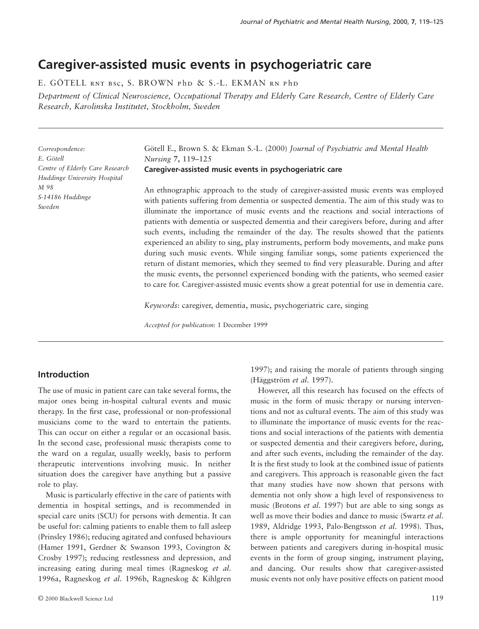# **Caregiver-assisted music events in psychogeriatric care**

E. GÖTELL RNT BSC, S. BROWN PhD & S.-L. EKMAN RN PhD

*Department of Clinical Neuroscience, Occupational Therapy and Elderly Care Research, Centre of Elderly Care Research, Karolinska Institutet, Stockholm, Sweden*

*Correspondence: E. Götell Centre of Elderly Care Research Huddinge University Hospital M 98 S-14186 Huddinge Sweden*

Götell E., Brown S. & Ekman S.-L. (2000) *Journal of Psychiatric and Mental Health Nursing* **7,** 119–125 **Caregiver-assisted music events in psychogeriatric care**

An ethnographic approach to the study of caregiver-assisted music events was employed with patients suffering from dementia or suspected dementia. The aim of this study was to illuminate the importance of music events and the reactions and social interactions of patients with dementia or suspected dementia and their caregivers before, during and after such events, including the remainder of the day. The results showed that the patients experienced an ability to sing, play instruments, perform body movements, and make puns during such music events. While singing familiar songs, some patients experienced the return of distant memories, which they seemed to find very pleasurable. During and after the music events, the personnel experienced bonding with the patients, who seemed easier to care for. Caregiver-assisted music events show a great potential for use in dementia care.

*Keywords*: caregiver, dementia, music, psychogeriatric care, singing

*Accepted for publication*: 1 December 1999

#### **Introduction**

The use of music in patient care can take several forms, the major ones being in-hospital cultural events and music therapy. In the first case, professional or non-professional musicians come to the ward to entertain the patients. This can occur on either a regular or an occasional basis. In the second case, professional music therapists come to the ward on a regular, usually weekly, basis to perform therapeutic interventions involving music. In neither situation does the caregiver have anything but a passive role to play.

Music is particularly effective in the care of patients with dementia in hospital settings, and is recommended in special care units (SCU) for persons with dementia. It can be useful for: calming patients to enable them to fall asleep (Prinsley 1986); reducing agitated and confused behaviours (Hamer 1991, Gerdner & Swanson 1993, Covington & Crosby 1997); reducing restlessness and depression, and increasing eating during meal times (Ragneskog *et al*. 1996a, Ragneskog *et al*. 1996b, Ragneskog & Kihlgren

1997); and raising the morale of patients through singing (Häggström *et al*. 1997).

However, all this research has focused on the effects of music in the form of music therapy or nursing interventions and not as cultural events. The aim of this study was to illuminate the importance of music events for the reactions and social interactions of the patients with dementia or suspected dementia and their caregivers before, during, and after such events, including the remainder of the day. It is the first study to look at the combined issue of patients and caregivers. This approach is reasonable given the fact that many studies have now shown that persons with dementia not only show a high level of responsiveness to music (Brotons *et al*. 1997) but are able to sing songs as well as move their bodies and dance to music (Swartz *et al*. 1989, Aldridge 1993, Palo-Bengtsson *et al*. 1998). Thus, there is ample opportunity for meaningful interactions between patients and caregivers during in-hospital music events in the form of group singing, instrument playing, and dancing. Our results show that caregiver-assisted music events not only have positive effects on patient mood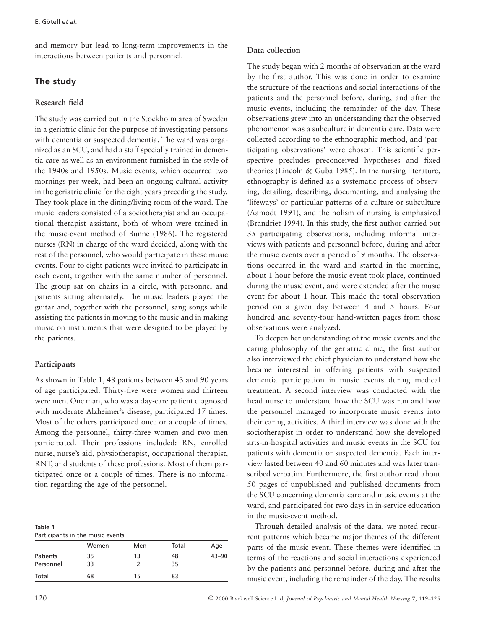and memory but lead to long-term improvements in the interactions between patients and personnel.

## **The study**

## **Research field**

The study was carried out in the Stockholm area of Sweden in a geriatric clinic for the purpose of investigating persons with dementia or suspected dementia. The ward was organized as an SCU, and had a staff specially trained in dementia care as well as an environment furnished in the style of the 1940s and 1950s. Music events, which occurred two mornings per week, had been an ongoing cultural activity in the geriatric clinic for the eight years preceding the study. They took place in the dining/living room of the ward. The music leaders consisted of a sociotherapist and an occupational therapist assistant, both of whom were trained in the music-event method of Bunne (1986). The registered nurses (RN) in charge of the ward decided, along with the rest of the personnel, who would participate in these music events. Four to eight patients were invited to participate in each event, together with the same number of personnel. The group sat on chairs in a circle, with personnel and patients sitting alternately. The music leaders played the guitar and, together with the personnel, sang songs while assisting the patients in moving to the music and in making music on instruments that were designed to be played by the patients.

## **Participants**

As shown in Table 1, 48 patients between 43 and 90 years of age participated. Thirty-five were women and thirteen were men. One man, who was a day-care patient diagnosed with moderate Alzheimer's disease, participated 17 times. Most of the others participated once or a couple of times. Among the personnel, thirty-three women and two men participated. Their professions included: RN, enrolled nurse, nurse's aid, physiotherapist, occupational therapist, RNT, and students of these professions. Most of them participated once or a couple of times. There is no information regarding the age of the personnel.

**Table 1**

| Participants in the music events |  |  |  |
|----------------------------------|--|--|--|
|                                  |  |  |  |

|           | Women | Men | Total | Age       |
|-----------|-------|-----|-------|-----------|
| Patients  | 35    | 13  | 48    | $43 - 90$ |
| Personnel | 33    |     | 35    |           |
| Total     | 68    | 15  | 83    |           |

The study began with 2 months of observation at the ward by the first author. This was done in order to examine the structure of the reactions and social interactions of the patients and the personnel before, during, and after the music events, including the remainder of the day. These observations grew into an understanding that the observed phenomenon was a subculture in dementia care. Data were collected according to the ethnographic method, and 'participating observations' were chosen. This scientific perspective precludes preconceived hypotheses and fixed theories (Lincoln & Guba 1985). In the nursing literature, ethnography is defined as a systematic process of observing, detailing, describing, documenting, and analysing the 'lifeways' or particular patterns of a culture or subculture (Aamodt 1991), and the holism of nursing is emphasized (Brandriet 1994). In this study, the first author carried out 35 participating observations, including informal interviews with patients and personnel before, during and after the music events over a period of 9 months. The observations occurred in the ward and started in the morning, about 1 hour before the music event took place, continued during the music event, and were extended after the music event for about 1 hour. This made the total observation period on a given day between 4 and 5 hours. Four hundred and seventy-four hand-written pages from those observations were analyzed.

To deepen her understanding of the music events and the caring philosophy of the geriatric clinic, the first author also interviewed the chief physician to understand how she became interested in offering patients with suspected dementia participation in music events during medical treatment. A second interview was conducted with the head nurse to understand how the SCU was run and how the personnel managed to incorporate music events into their caring activities. A third interview was done with the sociotherapist in order to understand how she developed arts-in-hospital activities and music events in the SCU for patients with dementia or suspected dementia. Each interview lasted between 40 and 60 minutes and was later transcribed verbatim. Furthermore, the first author read about 50 pages of unpublished and published documents from the SCU concerning dementia care and music events at the ward, and participated for two days in in-service education in the music-event method.

Through detailed analysis of the data, we noted recurrent patterns which became major themes of the different parts of the music event. These themes were identified in terms of the reactions and social interactions experienced by the patients and personnel before, during and after the music event, including the remainder of the day. The results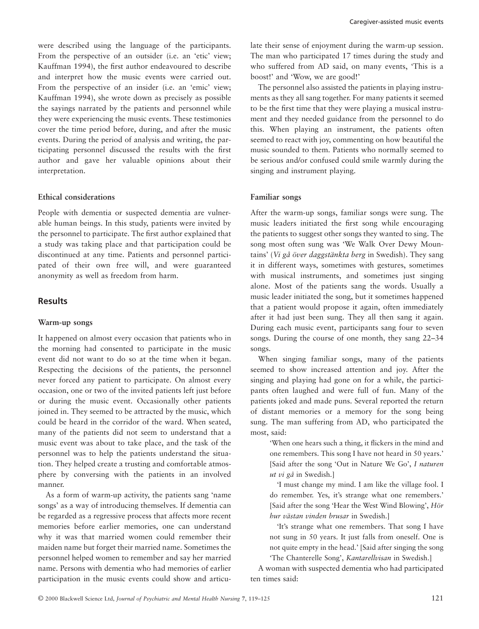were described using the language of the participants. From the perspective of an outsider (i.e. an 'etic' view; Kauffman 1994), the first author endeavoured to describe and interpret how the music events were carried out. From the perspective of an insider (i.e. an 'emic' view; Kauffman 1994), she wrote down as precisely as possible the sayings narrated by the patients and personnel while they were experiencing the music events. These testimonies cover the time period before, during, and after the music events. During the period of analysis and writing, the participating personnel discussed the results with the first author and gave her valuable opinions about their interpretation.

#### **Ethical considerations**

People with dementia or suspected dementia are vulnerable human beings. In this study, patients were invited by the personnel to participate. The first author explained that a study was taking place and that participation could be discontinued at any time. Patients and personnel participated of their own free will, and were guaranteed anonymity as well as freedom from harm.

#### **Results**

#### **Warm-up songs**

It happened on almost every occasion that patients who in the morning had consented to participate in the music event did not want to do so at the time when it began. Respecting the decisions of the patients, the personnel never forced any patient to participate. On almost every occasion, one or two of the invited patients left just before or during the music event. Occasionally other patients joined in. They seemed to be attracted by the music, which could be heard in the corridor of the ward. When seated, many of the patients did not seem to understand that a music event was about to take place, and the task of the personnel was to help the patients understand the situation. They helped create a trusting and comfortable atmosphere by conversing with the patients in an involved manner.

As a form of warm-up activity, the patients sang 'name songs' as a way of introducing themselves. If dementia can be regarded as a regressive process that affects more recent memories before earlier memories, one can understand why it was that married women could remember their maiden name but forget their married name. Sometimes the personnel helped women to remember and say her married name. Persons with dementia who had memories of earlier participation in the music events could show and articulate their sense of enjoyment during the warm-up session. The man who participated 17 times during the study and who suffered from AD said, on many events, 'This is a boost!' and 'Wow, we are good!'

The personnel also assisted the patients in playing instruments as they all sang together. For many patients it seemed to be the first time that they were playing a musical instrument and they needed guidance from the personnel to do this. When playing an instrument, the patients often seemed to react with joy, commenting on how beautiful the music sounded to them. Patients who normally seemed to be serious and/or confused could smile warmly during the singing and instrument playing.

#### **Familiar songs**

After the warm-up songs, familiar songs were sung. The music leaders initiated the first song while encouraging the patients to suggest other songs they wanted to sing. The song most often sung was 'We Walk Over Dewy Mountains' (*Vi gå över daggstänkta berg* in Swedish). They sang it in different ways, sometimes with gestures, sometimes with musical instruments, and sometimes just singing alone. Most of the patients sang the words. Usually a music leader initiated the song, but it sometimes happened that a patient would propose it again, often immediately after it had just been sung. They all then sang it again. During each music event, participants sang four to seven songs. During the course of one month, they sang 22–34 songs.

When singing familiar songs, many of the patients seemed to show increased attention and joy. After the singing and playing had gone on for a while, the participants often laughed and were full of fun. Many of the patients joked and made puns. Several reported the return of distant memories or a memory for the song being sung. The man suffering from AD, who participated the most, said:

'When one hears such a thing, it flickers in the mind and one remembers. This song I have not heard in 50 years.' [Said after the song 'Out in Nature We Go', *I naturen ut vi gå* in Swedish.]

'I must change my mind. I am like the village fool. I do remember. Yes, it's strange what one remembers.' [Said after the song 'Hear the West Wind Blowing', *Hör hur västan vinden brusar* in Swedish.]

'It's strange what one remembers. That song I have not sung in 50 years. It just falls from oneself. One is not quite empty in the head.' [Said after singing the song 'The Chanterelle Song', *Kantarellvisan* in Swedish.]

A woman with suspected dementia who had participated ten times said: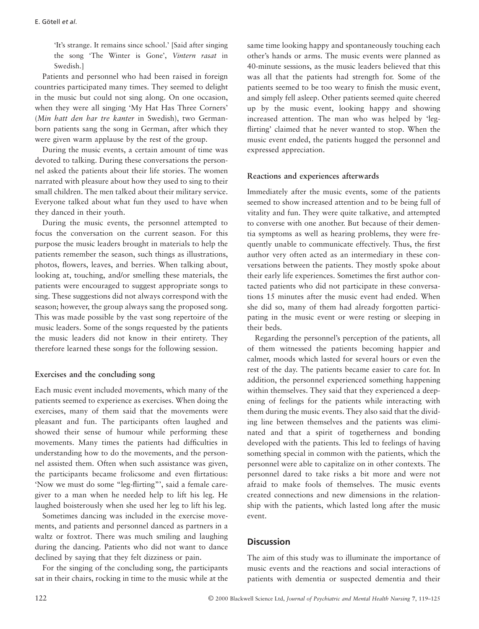'It's strange. It remains since school.' [Said after singing the song 'The Winter is Gone', *Vintern rasat* in Swedish.]

Patients and personnel who had been raised in foreign countries participated many times. They seemed to delight in the music but could not sing along. On one occasion, when they were all singing 'My Hat Has Three Corners' (*Min hatt den har tre kanter* in Swedish), two Germanborn patients sang the song in German, after which they were given warm applause by the rest of the group.

During the music events, a certain amount of time was devoted to talking. During these conversations the personnel asked the patients about their life stories. The women narrated with pleasure about how they used to sing to their small children. The men talked about their military service. Everyone talked about what fun they used to have when they danced in their youth.

During the music events, the personnel attempted to focus the conversation on the current season. For this purpose the music leaders brought in materials to help the patients remember the season, such things as illustrations, photos, flowers, leaves, and berries. When talking about, looking at, touching, and/or smelling these materials, the patients were encouraged to suggest appropriate songs to sing. These suggestions did not always correspond with the season; however, the group always sang the proposed song. This was made possible by the vast song repertoire of the music leaders. Some of the songs requested by the patients the music leaders did not know in their entirety. They therefore learned these songs for the following session.

#### **Exercises and the concluding song**

Each music event included movements, which many of the patients seemed to experience as exercises. When doing the exercises, many of them said that the movements were pleasant and fun. The participants often laughed and showed their sense of humour while performing these movements. Many times the patients had difficulties in understanding how to do the movements, and the personnel assisted them. Often when such assistance was given, the participants became frolicsome and even flirtatious: 'Now we must do some "leg-flirting"', said a female caregiver to a man when he needed help to lift his leg. He laughed boisterously when she used her leg to lift his leg.

Sometimes dancing was included in the exercise movements, and patients and personnel danced as partners in a waltz or foxtrot. There was much smiling and laughing during the dancing. Patients who did not want to dance declined by saying that they felt dizziness or pain.

For the singing of the concluding song, the participants sat in their chairs, rocking in time to the music while at the same time looking happy and spontaneously touching each other's hands or arms. The music events were planned as 40-minute sessions, as the music leaders believed that this was all that the patients had strength for. Some of the patients seemed to be too weary to finish the music event, and simply fell asleep. Other patients seemed quite cheered up by the music event, looking happy and showing increased attention. The man who was helped by 'legflirting' claimed that he never wanted to stop. When the music event ended, the patients hugged the personnel and expressed appreciation.

#### **Reactions and experiences afterwards**

Immediately after the music events, some of the patients seemed to show increased attention and to be being full of vitality and fun. They were quite talkative, and attempted to converse with one another. But because of their dementia symptoms as well as hearing problems, they were frequently unable to communicate effectively. Thus, the first author very often acted as an intermediary in these conversations between the patients. They mostly spoke about their early life experiences. Sometimes the first author contacted patients who did not participate in these conversations 15 minutes after the music event had ended. When she did so, many of them had already forgotten participating in the music event or were resting or sleeping in their beds.

Regarding the personnel's perception of the patients, all of them witnessed the patients becoming happier and calmer, moods which lasted for several hours or even the rest of the day. The patients became easier to care for. In addition, the personnel experienced something happening within themselves. They said that they experienced a deepening of feelings for the patients while interacting with them during the music events. They also said that the dividing line between themselves and the patients was eliminated and that a spirit of togetherness and bonding developed with the patients. This led to feelings of having something special in common with the patients, which the personnel were able to capitalize on in other contexts. The personnel dared to take risks a bit more and were not afraid to make fools of themselves. The music events created connections and new dimensions in the relationship with the patients, which lasted long after the music event.

## **Discussion**

The aim of this study was to illuminate the importance of music events and the reactions and social interactions of patients with dementia or suspected dementia and their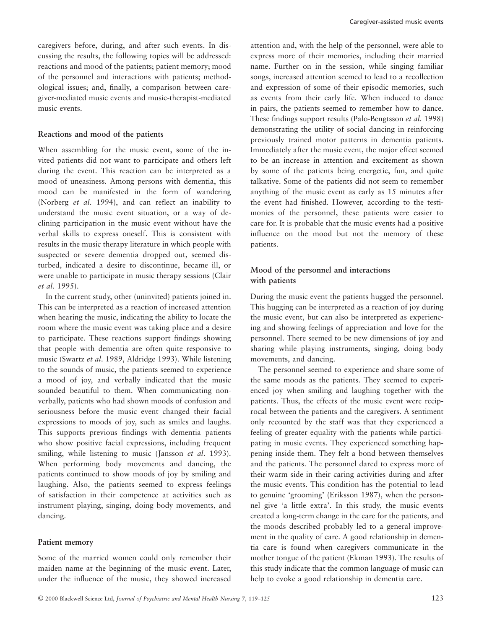caregivers before, during, and after such events. In discussing the results, the following topics will be addressed: reactions and mood of the patients; patient memory; mood of the personnel and interactions with patients; methodological issues; and, finally, a comparison between caregiver-mediated music events and music-therapist-mediated music events.

#### **Reactions and mood of the patients**

When assembling for the music event, some of the invited patients did not want to participate and others left during the event. This reaction can be interpreted as a mood of uneasiness*.* Among persons with dementia, this mood can be manifested in the form of wandering (Norberg *et al*. 1994), and can reflect an inability to understand the music event situation, or a way of declining participation in the music event without have the verbal skills to express oneself. This is consistent with results in the music therapy literature in which people with suspected or severe dementia dropped out, seemed disturbed, indicated a desire to discontinue, became ill, or were unable to participate in music therapy sessions (Clair *et al*. 1995).

In the current study, other (uninvited) patients joined in. This can be interpreted as a reaction of increased attention when hearing the music, indicating the ability to locate the room where the music event was taking place and a desire to participate. These reactions support findings showing that people with dementia are often quite responsive to music (Swartz *et al*. 1989, Aldridge 1993). While listening to the sounds of music, the patients seemed to experience a mood of joy, and verbally indicated that the music sounded beautiful to them. When communicating nonverbally, patients who had shown moods of confusion and seriousness before the music event changed their facial expressions to moods of joy, such as smiles and laughs. This supports previous findings with dementia patients who show positive facial expressions, including frequent smiling, while listening to music (Jansson *et al*. 1993). When performing body movements and dancing, the patients continued to show moods of joy by smiling and laughing. Also, the patients seemed to express feelings of satisfaction in their competence at activities such as instrument playing, singing, doing body movements, and dancing.

#### **Patient memory**

Some of the married women could only remember their maiden name at the beginning of the music event. Later, under the influence of the music, they showed increased

attention and, with the help of the personnel, were able to express more of their memories, including their married name. Further on in the session, while singing familiar songs, increased attention seemed to lead to a recollection and expression of some of their episodic memories, such as events from their early life. When induced to dance in pairs, the patients seemed to remember how to dance. These findings support results (Palo-Bengtsson *et al*. 1998) demonstrating the utility of social dancing in reinforcing previously trained motor patterns in dementia patients. Immediately after the music event, the major effect seemed to be an increase in attention and excitement as shown by some of the patients being energetic, fun, and quite talkative. Some of the patients did not seem to remember anything of the music event as early as 15 minutes after the event had finished. However, according to the testimonies of the personnel, these patients were easier to care for. It is probable that the music events had a positive influence on the mood but not the memory of these patients.

#### **Mood of the personnel and interactions with patients**

During the music event the patients hugged the personnel. This hugging can be interpreted as a reaction of joy during the music event, but can also be interpreted as experiencing and showing feelings of appreciation and love for the personnel. There seemed to be new dimensions of joy and sharing while playing instruments, singing, doing body movements, and dancing.

The personnel seemed to experience and share some of the same moods as the patients. They seemed to experienced joy when smiling and laughing together with the patients. Thus, the effects of the music event were reciprocal between the patients and the caregivers. A sentiment only recounted by the staff was that they experienced a feeling of greater equality with the patients while participating in music events. They experienced something happening inside them. They felt a bond between themselves and the patients. The personnel dared to express more of their warm side in their caring activities during and after the music events. This condition has the potential to lead to genuine 'grooming' (Eriksson 1987), when the personnel give 'a little extra'. In this study, the music events created a long-term change in the care for the patients*,* and the moods described probably led to a general improvement in the quality of care. A good relationship in dementia care is found when caregivers communicate in the mother tongue of the patient (Ekman 1993). The results of this study indicate that the common language of music can help to evoke a good relationship in dementia care.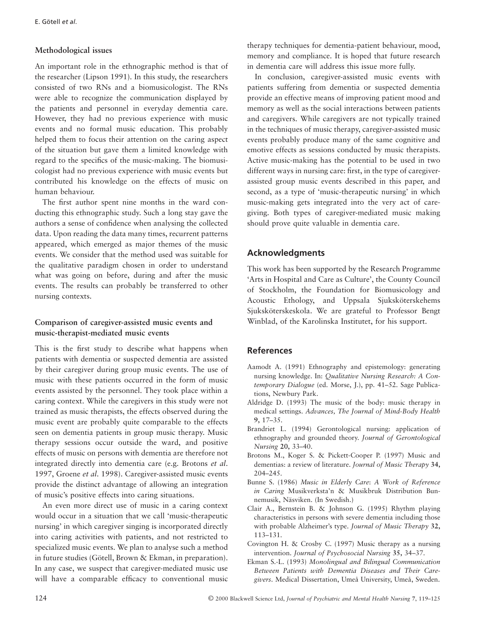## **Methodological issues**

An important role in the ethnographic method is that of the researcher (Lipson 1991). In this study, the researchers consisted of two RNs and a biomusicologist. The RNs were able to recognize the communication displayed by the patients and personnel in everyday dementia care. However, they had no previous experience with music events and no formal music education. This probably helped them to focus their attention on the caring aspect of the situation but gave them a limited knowledge with regard to the specifics of the music-making. The biomusicologist had no previous experience with music events but contributed his knowledge on the effects of music on human behaviour.

The first author spent nine months in the ward conducting this ethnographic study. Such a long stay gave the authors a sense of confidence when analysing the collected data. Upon reading the data many times, recurrent patterns appeared, which emerged as major themes of the music events. We consider that the method used was suitable for the qualitative paradigm chosen in order to understand what was going on before, during and after the music events. The results can probably be transferred to other nursing contexts.

## **Comparison of caregiver-assisted music events and music-therapist-mediated music events**

This is the first study to describe what happens when patients with dementia or suspected dementia are assisted by their caregiver during group music events. The use of music with these patients occurred in the form of music events assisted by the personnel. They took place within a caring context. While the caregivers in this study were not trained as music therapists, the effects observed during the music event are probably quite comparable to the effects seen on dementia patients in group music therapy. Music therapy sessions occur outside the ward, and positive effects of music on persons with dementia are therefore not integrated directly into dementia care (e.g. Brotons *et al*. 1997, Groene *et al*. 1998). Caregiver-assisted music events provide the distinct advantage of allowing an integration of music's positive effects into caring situations.

An even more direct use of music in a caring context would occur in a situation that we call 'music-therapeutic nursing' in which caregiver singing is incorporated directly into caring activities with patients, and not restricted to specialized music events. We plan to analyse such a method in future studies (Götell, Brown & Ekman, in preparation). In any case, we suspect that caregiver-mediated music use will have a comparable efficacy to conventional music therapy techniques for dementia-patient behaviour, mood, memory and compliance. It is hoped that future research in dementia care will address this issue more fully.

In conclusion, caregiver-assisted music events with patients suffering from dementia or suspected dementia provide an effective means of improving patient mood and memory as well as the social interactions between patients and caregivers. While caregivers are not typically trained in the techniques of music therapy, caregiver-assisted music events probably produce many of the same cognitive and emotive effects as sessions conducted by music therapists. Active music-making has the potential to be used in two different ways in nursing care: first, in the type of caregiverassisted group music events described in this paper, and second, as a type of 'music-therapeutic nursing' in which music-making gets integrated into the very act of caregiving. Both types of caregiver-mediated music making should prove quite valuable in dementia care.

## **Acknowledgments**

This work has been supported by the Research Programme 'Arts in Hospital and Care as Culture', the County Council of Stockholm, the Foundation for Biomusicology and Acoustic Ethology, and Uppsala Sjuksköterskehems Sjuksköterskeskola. We are grateful to Professor Bengt Winblad, of the Karolinska Institutet, for his support.

## **References**

- Aamodt A. (1991) Ethnography and epistemology: generating nursing knowledge. In: *Qualitative Nursing Research: A Contemporary Dialogue* (ed. Morse, J.), pp. 41–52. Sage Publications, Newbury Park.
- Aldridge D. (1993) The music of the body: music therapy in medical settings. *Advances, The Journal of Mind-Body Health* **9,** 17–35.
- Brandriet L. (1994) Gerontological nursing: application of ethnography and grounded theory. *Journal of Gerontological Nursing* **20,** 33–40.
- Brotons M., Koger S. & Pickett-Cooper P. (1997) Music and dementias: a review of literature. *Journal of Music Therapy* **34,** 204–245.
- Bunne S. (1986) *Music in Elderly Care*: *A Work of Reference in Caring* Musikverksta'n & Musikbruk Distribution Bunnemusik, Näsviken. (In Swedish.)
- Clair A., Bernstein B. & Johnson G. (1995) Rhythm playing characteristics in persons with severe dementia including those with probable Alzheimer's type. *Journal of Music Therapy* **32,** 113–131.
- Covington H. & Crosby C. (1997) Music therapy as a nursing intervention. *Journal of Psychosocial Nursing* **35,** 34–37.
- Ekman S.-L. (1993) *Monolingual and Bilingual Communication Between Patients with Dementia Diseases and Their Caregivers*. Medical Dissertation, Umeå University, Umeå, Sweden.